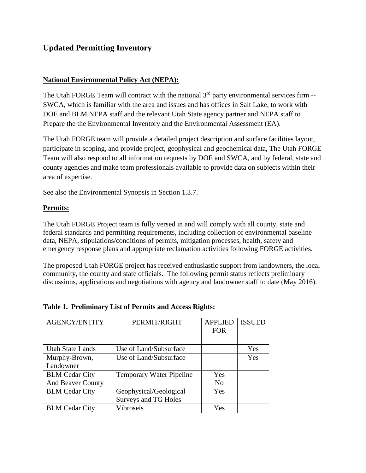## **Updated Permitting Inventory**

### **National Environmental Policy Act (NEPA):**

The Utah FORGE Team will contract with the national  $3<sup>rd</sup>$  party environmental services firm --SWCA, which is familiar with the area and issues and has offices in Salt Lake, to work with DOE and BLM NEPA staff and the relevant Utah State agency partner and NEPA staff to Prepare the the Environmental Inventory and the Environmental Assessment (EA).

The Utah FORGE team will provide a detailed project description and surface facilities layout, participate in scoping, and provide project, geophysical and geochemical data, The Utah FORGE Team will also respond to all information requests by DOE and SWCA, and by federal, state and county agencies and make team professionals available to provide data on subjects within their area of expertise.

See also the Environmental Synopsis in Section 1.3.7.

#### **Permits:**

The Utah FORGE Project team is fully versed in and will comply with all county, state and federal standards and permitting requirements, including collection of environmental baseline data, NEPA, stipulations/conditions of permits, mitigation processes, health, safety and emergency response plans and appropriate reclamation activities following FORGE activities.

The proposed Utah FORGE project has received enthusiastic support from landowners, the local community, the county and state officials. The following permit status reflects preliminary discussions, applications and negotiations with agency and landowner staff to date (May 2016).

| <b>AGENCY/ENTITY</b>     | PERMIT/RIGHT                    | <b>APPLIED</b> | <b>ISSUED</b> |
|--------------------------|---------------------------------|----------------|---------------|
|                          |                                 | <b>FOR</b>     |               |
|                          |                                 |                |               |
| <b>Utah State Lands</b>  | Use of Land/Subsurface          |                | Yes           |
| Murphy-Brown,            | Use of Land/Subsurface          |                | Yes           |
| Landowner                |                                 |                |               |
| <b>BLM Cedar City</b>    | <b>Temporary Water Pipeline</b> | Yes            |               |
| <b>And Beaver County</b> |                                 | No             |               |
| <b>BLM Cedar City</b>    | Geophysical/Geological          | Yes            |               |
|                          | Surveys and TG Holes            |                |               |
| <b>BLM</b> Cedar City    | Vibroseis                       | Yes            |               |

#### **Table 1. Preliminary List of Permits and Access Rights:**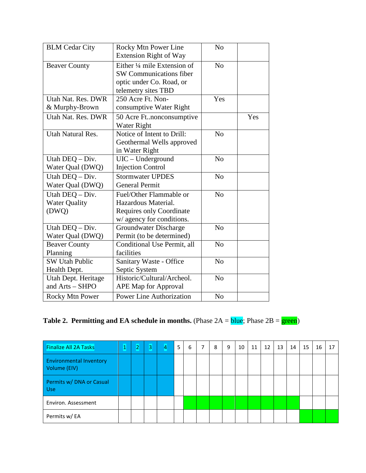| <b>BLM</b> Cedar City                            | Rocky Mtn Power Line<br>Extension Right of Way                                                                              | N <sub>o</sub> |  |
|--------------------------------------------------|-----------------------------------------------------------------------------------------------------------------------------|----------------|--|
| <b>Beaver County</b>                             | Either $\frac{1}{4}$ mile Extension of<br><b>SW Communications fiber</b><br>optic under Co. Road, or<br>telemetry sites TBD | N <sub>o</sub> |  |
| Utah Nat. Res. DWR<br>& Murphy-Brown             | 250 Acre Ft. Non-<br>consumptive Water Right                                                                                | Yes            |  |
| Utah Nat. Res. DWR                               |                                                                                                                             | Yes            |  |
| <b>Utah Natural Res.</b>                         | Notice of Intent to Drill:<br>Geothermal Wells approved<br>in Water Right                                                   | N <sub>0</sub> |  |
| Utah DEQ - Div.<br>Water Qual (DWQ)              | UIC - Underground<br><b>Injection Control</b>                                                                               | N <sub>o</sub> |  |
| Utah DEQ - Div.<br>Water Qual (DWQ)              | <b>Stormwater UPDES</b><br><b>General Permit</b>                                                                            | N <sub>o</sub> |  |
| Utah DEQ - Div.<br><b>Water Quality</b><br>(DWQ) | Fuel/Other Flammable or<br>Hazardous Material.<br><b>Requires only Coordinate</b><br>w/ agency for conditions.              | N <sub>o</sub> |  |
| Utah DEQ - Div.<br>Water Qual (DWQ)              | Groundwater Discharge<br>Permit (to be determined)                                                                          | No             |  |
| <b>Beaver County</b><br>Planning                 | Conditional Use Permit, all<br>facilities                                                                                   | N <sub>o</sub> |  |
| <b>SW Utah Public</b><br>Health Dept.            | Sanitary Waste - Office<br>Septic System                                                                                    | N <sub>o</sub> |  |
| Utah Dept. Heritage<br>and Arts - SHPO           | Historic/Cultural/Archeol.<br>APE Map for Approval                                                                          | N <sub>o</sub> |  |
| <b>Rocky Mtn Power</b>                           | <b>Power Line Authorization</b>                                                                                             | N <sub>o</sub> |  |

# **Table 2. Permitting and EA schedule in months.** (Phase  $2A =$ **blue**; Phase  $2B =$ **green**)

| <b>Finalize All 2A Tasks</b>                   | 11 | $\mathbf{2}^-$ | 3 | 4 | 5 | 6 | 7 | 8 | 9 | 10 | 11 | 12 | 13 | 14 | 15 | 16 | 17 |
|------------------------------------------------|----|----------------|---|---|---|---|---|---|---|----|----|----|----|----|----|----|----|
| <b>Environmental Inventory</b><br>Volume (EIV) |    |                |   |   |   |   |   |   |   |    |    |    |    |    |    |    |    |
| Permits w/ DNA or Casual<br><b>Use</b>         |    |                |   |   |   |   |   |   |   |    |    |    |    |    |    |    |    |
| Environ. Assessment                            |    |                |   |   |   |   |   |   |   |    |    |    |    |    |    |    |    |
| Permits w/ EA                                  |    |                |   |   |   |   |   |   |   |    |    |    |    |    |    |    |    |